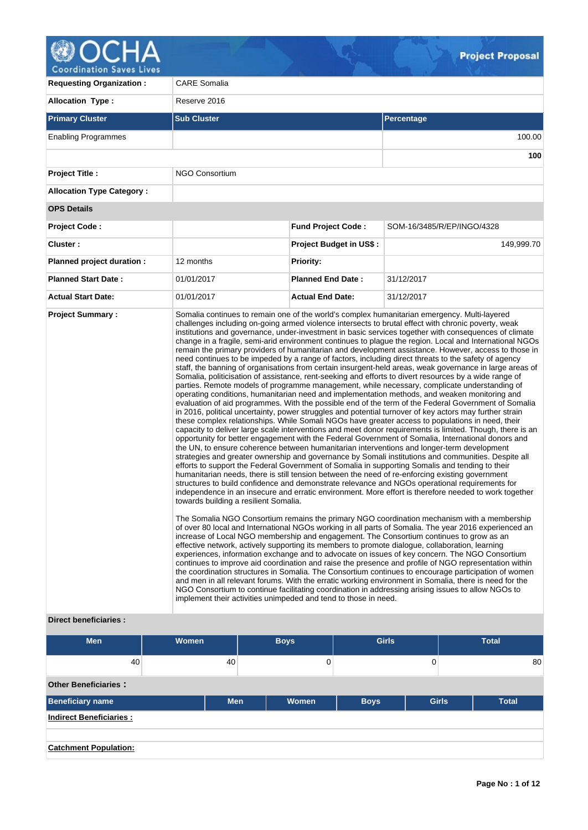

| <b>Requesting Organization:</b>  | <b>CARE Somalia</b>                                                                                      |                                |                                                                                                                                                                                                                                                                                                                                                                                                                                                                                                                                                                                                                                                                                                                                                                                                                                                                                                                                                                                                                                                                                                                                                                                                                                                                                                                                                                                                                                                                                                                                                                                                                                                                                                                                                                                                                                                                                                                                                                                                                                                                                                                                                                                                                                                                                                                                                                                                                                                                                                                                                                                                                                                                                                                                                                                                                                                                                                                                                                                                                                                                                                                                                                         |  |  |  |  |  |
|----------------------------------|----------------------------------------------------------------------------------------------------------|--------------------------------|-------------------------------------------------------------------------------------------------------------------------------------------------------------------------------------------------------------------------------------------------------------------------------------------------------------------------------------------------------------------------------------------------------------------------------------------------------------------------------------------------------------------------------------------------------------------------------------------------------------------------------------------------------------------------------------------------------------------------------------------------------------------------------------------------------------------------------------------------------------------------------------------------------------------------------------------------------------------------------------------------------------------------------------------------------------------------------------------------------------------------------------------------------------------------------------------------------------------------------------------------------------------------------------------------------------------------------------------------------------------------------------------------------------------------------------------------------------------------------------------------------------------------------------------------------------------------------------------------------------------------------------------------------------------------------------------------------------------------------------------------------------------------------------------------------------------------------------------------------------------------------------------------------------------------------------------------------------------------------------------------------------------------------------------------------------------------------------------------------------------------------------------------------------------------------------------------------------------------------------------------------------------------------------------------------------------------------------------------------------------------------------------------------------------------------------------------------------------------------------------------------------------------------------------------------------------------------------------------------------------------------------------------------------------------------------------------------------------------------------------------------------------------------------------------------------------------------------------------------------------------------------------------------------------------------------------------------------------------------------------------------------------------------------------------------------------------------------------------------------------------------------------------------------------------|--|--|--|--|--|
| <b>Allocation Type:</b>          | Reserve 2016                                                                                             |                                |                                                                                                                                                                                                                                                                                                                                                                                                                                                                                                                                                                                                                                                                                                                                                                                                                                                                                                                                                                                                                                                                                                                                                                                                                                                                                                                                                                                                                                                                                                                                                                                                                                                                                                                                                                                                                                                                                                                                                                                                                                                                                                                                                                                                                                                                                                                                                                                                                                                                                                                                                                                                                                                                                                                                                                                                                                                                                                                                                                                                                                                                                                                                                                         |  |  |  |  |  |
| <b>Primary Cluster</b>           | <b>Sub Cluster</b>                                                                                       | Percentage                     |                                                                                                                                                                                                                                                                                                                                                                                                                                                                                                                                                                                                                                                                                                                                                                                                                                                                                                                                                                                                                                                                                                                                                                                                                                                                                                                                                                                                                                                                                                                                                                                                                                                                                                                                                                                                                                                                                                                                                                                                                                                                                                                                                                                                                                                                                                                                                                                                                                                                                                                                                                                                                                                                                                                                                                                                                                                                                                                                                                                                                                                                                                                                                                         |  |  |  |  |  |
| <b>Enabling Programmes</b>       |                                                                                                          |                                |                                                                                                                                                                                                                                                                                                                                                                                                                                                                                                                                                                                                                                                                                                                                                                                                                                                                                                                                                                                                                                                                                                                                                                                                                                                                                                                                                                                                                                                                                                                                                                                                                                                                                                                                                                                                                                                                                                                                                                                                                                                                                                                                                                                                                                                                                                                                                                                                                                                                                                                                                                                                                                                                                                                                                                                                                                                                                                                                                                                                                                                                                                                                                                         |  |  |  |  |  |
|                                  |                                                                                                          |                                | 100                                                                                                                                                                                                                                                                                                                                                                                                                                                                                                                                                                                                                                                                                                                                                                                                                                                                                                                                                                                                                                                                                                                                                                                                                                                                                                                                                                                                                                                                                                                                                                                                                                                                                                                                                                                                                                                                                                                                                                                                                                                                                                                                                                                                                                                                                                                                                                                                                                                                                                                                                                                                                                                                                                                                                                                                                                                                                                                                                                                                                                                                                                                                                                     |  |  |  |  |  |
| <b>Project Title:</b>            | <b>NGO Consortium</b>                                                                                    |                                |                                                                                                                                                                                                                                                                                                                                                                                                                                                                                                                                                                                                                                                                                                                                                                                                                                                                                                                                                                                                                                                                                                                                                                                                                                                                                                                                                                                                                                                                                                                                                                                                                                                                                                                                                                                                                                                                                                                                                                                                                                                                                                                                                                                                                                                                                                                                                                                                                                                                                                                                                                                                                                                                                                                                                                                                                                                                                                                                                                                                                                                                                                                                                                         |  |  |  |  |  |
| <b>Allocation Type Category:</b> |                                                                                                          |                                |                                                                                                                                                                                                                                                                                                                                                                                                                                                                                                                                                                                                                                                                                                                                                                                                                                                                                                                                                                                                                                                                                                                                                                                                                                                                                                                                                                                                                                                                                                                                                                                                                                                                                                                                                                                                                                                                                                                                                                                                                                                                                                                                                                                                                                                                                                                                                                                                                                                                                                                                                                                                                                                                                                                                                                                                                                                                                                                                                                                                                                                                                                                                                                         |  |  |  |  |  |
| <b>OPS Details</b>               |                                                                                                          |                                |                                                                                                                                                                                                                                                                                                                                                                                                                                                                                                                                                                                                                                                                                                                                                                                                                                                                                                                                                                                                                                                                                                                                                                                                                                                                                                                                                                                                                                                                                                                                                                                                                                                                                                                                                                                                                                                                                                                                                                                                                                                                                                                                                                                                                                                                                                                                                                                                                                                                                                                                                                                                                                                                                                                                                                                                                                                                                                                                                                                                                                                                                                                                                                         |  |  |  |  |  |
| <b>Project Code:</b>             |                                                                                                          | <b>Fund Project Code:</b>      | SOM-16/3485/R/EP/INGO/4328                                                                                                                                                                                                                                                                                                                                                                                                                                                                                                                                                                                                                                                                                                                                                                                                                                                                                                                                                                                                                                                                                                                                                                                                                                                                                                                                                                                                                                                                                                                                                                                                                                                                                                                                                                                                                                                                                                                                                                                                                                                                                                                                                                                                                                                                                                                                                                                                                                                                                                                                                                                                                                                                                                                                                                                                                                                                                                                                                                                                                                                                                                                                              |  |  |  |  |  |
| Cluster:                         |                                                                                                          | <b>Project Budget in US\$:</b> | 149,999.70                                                                                                                                                                                                                                                                                                                                                                                                                                                                                                                                                                                                                                                                                                                                                                                                                                                                                                                                                                                                                                                                                                                                                                                                                                                                                                                                                                                                                                                                                                                                                                                                                                                                                                                                                                                                                                                                                                                                                                                                                                                                                                                                                                                                                                                                                                                                                                                                                                                                                                                                                                                                                                                                                                                                                                                                                                                                                                                                                                                                                                                                                                                                                              |  |  |  |  |  |
| Planned project duration :       | 12 months                                                                                                | <b>Priority:</b>               |                                                                                                                                                                                                                                                                                                                                                                                                                                                                                                                                                                                                                                                                                                                                                                                                                                                                                                                                                                                                                                                                                                                                                                                                                                                                                                                                                                                                                                                                                                                                                                                                                                                                                                                                                                                                                                                                                                                                                                                                                                                                                                                                                                                                                                                                                                                                                                                                                                                                                                                                                                                                                                                                                                                                                                                                                                                                                                                                                                                                                                                                                                                                                                         |  |  |  |  |  |
| <b>Planned Start Date:</b>       | 01/01/2017                                                                                               | <b>Planned End Date:</b>       | 31/12/2017                                                                                                                                                                                                                                                                                                                                                                                                                                                                                                                                                                                                                                                                                                                                                                                                                                                                                                                                                                                                                                                                                                                                                                                                                                                                                                                                                                                                                                                                                                                                                                                                                                                                                                                                                                                                                                                                                                                                                                                                                                                                                                                                                                                                                                                                                                                                                                                                                                                                                                                                                                                                                                                                                                                                                                                                                                                                                                                                                                                                                                                                                                                                                              |  |  |  |  |  |
| <b>Actual Start Date:</b>        | 01/01/2017                                                                                               | <b>Actual End Date:</b>        | 31/12/2017                                                                                                                                                                                                                                                                                                                                                                                                                                                                                                                                                                                                                                                                                                                                                                                                                                                                                                                                                                                                                                                                                                                                                                                                                                                                                                                                                                                                                                                                                                                                                                                                                                                                                                                                                                                                                                                                                                                                                                                                                                                                                                                                                                                                                                                                                                                                                                                                                                                                                                                                                                                                                                                                                                                                                                                                                                                                                                                                                                                                                                                                                                                                                              |  |  |  |  |  |
| <b>Direct beneficiaries:</b>     | towards building a resilient Somalia.<br>implement their activities unimpeded and tend to those in need. |                                | Somalia continues to remain one of the world's complex humanitarian emergency. Multi-layered<br>challenges including on-going armed violence intersects to brutal effect with chronic poverty, weak<br>institutions and governance, under-investment in basic services together with consequences of climate<br>change in a fragile, semi-arid environment continues to plague the region. Local and International NGOs<br>remain the primary providers of humanitarian and development assistance. However, access to those in<br>need continues to be impeded by a range of factors, including direct threats to the safety of agency<br>staff, the banning of organisations from certain insurgent-held areas, weak governance in large areas of<br>Somalia, politicisation of assistance, rent-seeking and efforts to divert resources by a wide range of<br>parties. Remote models of programme management, while necessary, complicate understanding of<br>operating conditions, humanitarian need and implementation methods, and weaken monitoring and<br>evaluation of aid programmes. With the possible end of the term of the Federal Government of Somalia<br>in 2016, political uncertainty, power struggles and potential turnover of key actors may further strain<br>these complex relationships. While Somali NGOs have greater access to populations in need, their<br>capacity to deliver large scale interventions and meet donor requirements is limited. Though, there is an<br>opportunity for better engagement with the Federal Government of Somalia, International donors and<br>the UN, to ensure coherence between humanitarian interventions and longer-term development<br>strategies and greater ownership and governance by Somali institutions and communities. Despite all<br>efforts to support the Federal Government of Somalia in supporting Somalis and tending to their<br>humanitarian needs, there is still tension between the need of re-enforcing existing government<br>structures to build confidence and demonstrate relevance and NGOs operational requirements for<br>independence in an insecure and erratic environment. More effort is therefore needed to work together<br>The Somalia NGO Consortium remains the primary NGO coordination mechanism with a membership<br>of over 80 local and International NGOs working in all parts of Somalia. The year 2016 experienced an<br>increase of Local NGO membership and engagement. The Consortium continues to grow as an<br>effective network, actively supporting its members to promote dialogue, collaboration, learning<br>experiences, information exchange and to advocate on issues of key concern. The NGO Consortium<br>continues to improve aid coordination and raise the presence and profile of NGO representation within<br>the coordination structures in Somalia. The Consortium continues to encourage participation of women<br>and men in all relevant forums. With the erratic working environment in Somalia, there is need for the<br>NGO Consortium to continue facilitating coordination in addressing arising issues to allow NGOs to |  |  |  |  |  |

## **Direct beneficiaries :**

| <b>Men</b>                     | <b>Women</b> | <b>Boys</b> | <b>Girls</b> | <b>Total</b>                 |
|--------------------------------|--------------|-------------|--------------|------------------------------|
| 40                             | 40           | 0           | 0            | 80                           |
| <b>Other Beneficiaries:</b>    |              |             |              |                              |
| <b>Beneficiary name</b>        | <b>Men</b>   | Women       | <b>Boys</b>  | <b>Girls</b><br><b>Total</b> |
| <b>Indirect Beneficiaries:</b> |              |             |              |                              |
|                                |              |             |              |                              |
| <b>Catchment Population:</b>   |              |             |              |                              |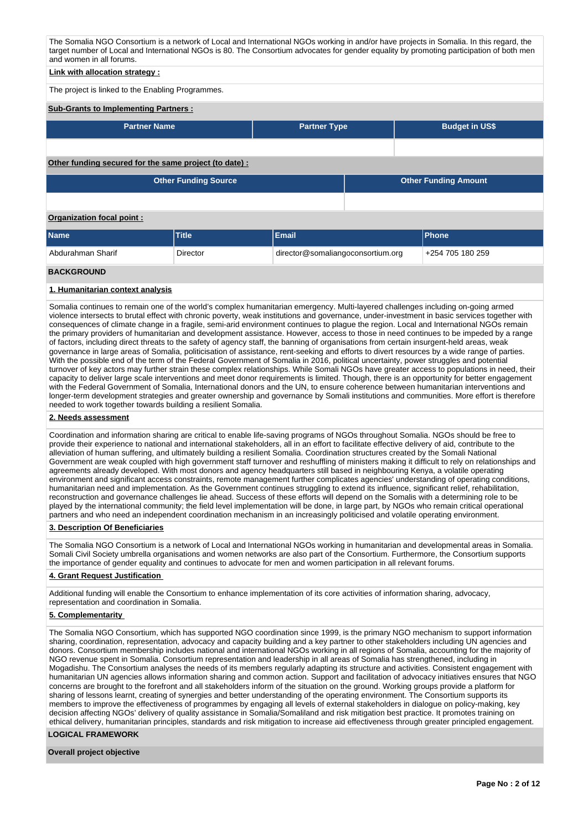The Somalia NGO Consortium is a network of Local and International NGOs working in and/or have projects in Somalia. In this regard, the target number of Local and International NGOs is 80. The Consortium advocates for gender equality by promoting participation of both men and women in all forums.

## **Link with allocation strategy :**

The project is linked to the Enabling Programmes.

#### **Sub-Grants to Implementing Partners :**

| Partner Name ˈ | <b>Partner Type</b> | <b>Budget in US\$</b> |
|----------------|---------------------|-----------------------|
|                |                     |                       |

#### **Other funding secured for the same project (to date) :**

| <b>Other Funding Source</b> | <b>Other Funding Amount</b> |
|-----------------------------|-----------------------------|
|                             |                             |

### **Organization focal point :**

| <b>Name</b>       | Title           | Email                             | <b>IPhone</b>    |
|-------------------|-----------------|-----------------------------------|------------------|
| Abdurahman Sharif | <b>Director</b> | director@somaliangoconsortium.org | +254 705 180 259 |
| <b>BACKGROUND</b> |                 |                                   |                  |

### **1. Humanitarian context analysis**

Somalia continues to remain one of the world's complex humanitarian emergency. Multi-layered challenges including on-going armed violence intersects to brutal effect with chronic poverty, weak institutions and governance, under-investment in basic services together with consequences of climate change in a fragile, semi-arid environment continues to plague the region. Local and International NGOs remain the primary providers of humanitarian and development assistance. However, access to those in need continues to be impeded by a range of factors, including direct threats to the safety of agency staff, the banning of organisations from certain insurgent-held areas, weak governance in large areas of Somalia, politicisation of assistance, rent-seeking and efforts to divert resources by a wide range of parties. With the possible end of the term of the Federal Government of Somalia in 2016, political uncertainty, power struggles and potential turnover of key actors may further strain these complex relationships. While Somali NGOs have greater access to populations in need, their capacity to deliver large scale interventions and meet donor requirements is limited. Though, there is an opportunity for better engagement with the Federal Government of Somalia, International donors and the UN, to ensure coherence between humanitarian interventions and longer-term development strategies and greater ownership and governance by Somali institutions and communities. More effort is therefore needed to work together towards building a resilient Somalia.

### **2. Needs assessment**

Coordination and information sharing are critical to enable life-saving programs of NGOs throughout Somalia. NGOs should be free to provide their experience to national and international stakeholders, all in an effort to facilitate effective delivery of aid, contribute to the alleviation of human suffering, and ultimately building a resilient Somalia. Coordination structures created by the Somali National Government are weak coupled with high government staff turnover and reshuffling of ministers making it difficult to rely on relationships and agreements already developed. With most donors and agency headquarters still based in neighbouring Kenya, a volatile operating environment and significant access constraints, remote management further complicates agencies' understanding of operating conditions, humanitarian need and implementation. As the Government continues struggling to extend its influence, significant relief, rehabilitation, reconstruction and governance challenges lie ahead. Success of these efforts will depend on the Somalis with a determining role to be played by the international community; the field level implementation will be done, in large part, by NGOs who remain critical operational partners and who need an independent coordination mechanism in an increasingly politicised and volatile operating environment.

### **3. Description Of Beneficiaries**

The Somalia NGO Consortium is a network of Local and International NGOs working in humanitarian and developmental areas in Somalia. Somali Civil Society umbrella organisations and women networks are also part of the Consortium. Furthermore, the Consortium supports the importance of gender equality and continues to advocate for men and women participation in all relevant forums.

### **4. Grant Request Justification**

Additional funding will enable the Consortium to enhance implementation of its core activities of information sharing, advocacy, representation and coordination in Somalia.

### **5. Complementarity**

The Somalia NGO Consortium, which has supported NGO coordination since 1999, is the primary NGO mechanism to support information sharing, coordination, representation, advocacy and capacity building and a key partner to other stakeholders including UN agencies and donors. Consortium membership includes national and international NGOs working in all regions of Somalia, accounting for the majority of NGO revenue spent in Somalia. Consortium representation and leadership in all areas of Somalia has strengthened, including in Mogadishu. The Consortium analyses the needs of its members regularly adapting its structure and activities. Consistent engagement with humanitarian UN agencies allows information sharing and common action. Support and facilitation of advocacy initiatives ensures that NGO concerns are brought to the forefront and all stakeholders inform of the situation on the ground. Working groups provide a platform for sharing of lessons learnt, creating of synergies and better understanding of the operating environment. The Consortium supports its members to improve the effectiveness of programmes by engaging all levels of external stakeholders in dialogue on policy-making, key decision affecting NGOs' delivery of quality assistance in Somalia/Somaliland and risk mitigation best practice. It promotes training on ethical delivery, humanitarian principles, standards and risk mitigation to increase aid effectiveness through greater principled engagement.

## **LOGICAL FRAMEWORK**

#### **Overall project objective**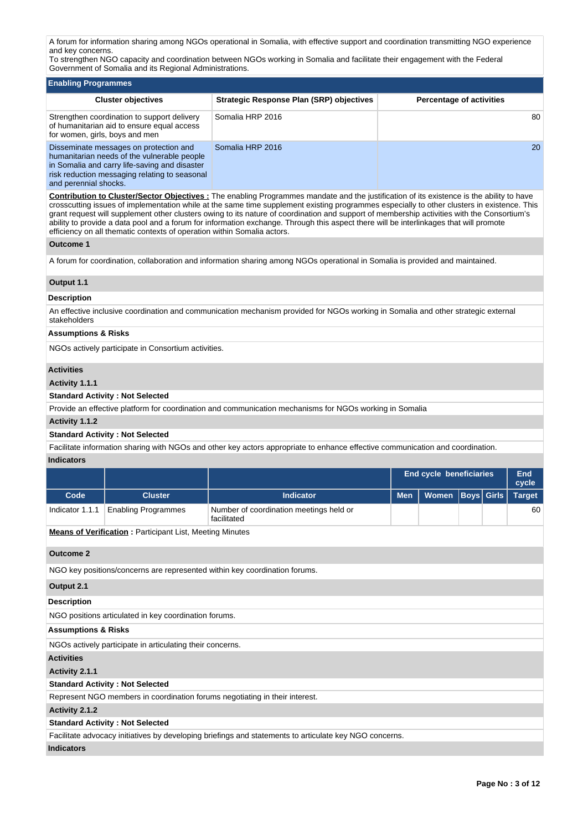A forum for information sharing among NGOs operational in Somalia, with effective support and coordination transmitting NGO experience and key concerns.

To strengthen NGO capacity and coordination between NGOs working in Somalia and facilitate their engagement with the Federal Government of Somalia and its Regional Administrations.

| <b>Enabling Programmes</b>                                                                                                                                                                                       |                                          |                                 |
|------------------------------------------------------------------------------------------------------------------------------------------------------------------------------------------------------------------|------------------------------------------|---------------------------------|
| <b>Cluster objectives</b>                                                                                                                                                                                        | Strategic Response Plan (SRP) objectives | <b>Percentage of activities</b> |
| Strengthen coordination to support delivery<br>of humanitarian aid to ensure equal access<br>for women, girls, boys and men                                                                                      | Somalia HRP 2016                         | 80                              |
| Disseminate messages on protection and<br>humanitarian needs of the vulnerable people<br>in Somalia and carry life-saving and disaster<br>risk reduction messaging relating to seasonal<br>and perennial shocks. | Somalia HRP 2016                         | <b>20</b>                       |

**Contribution to Cluster/Sector Objectives :** The enabling Programmes mandate and the justification of its existence is the ability to have crosscutting issues of implementation while at the same time supplement existing programmes especially to other clusters in existence. This grant request will supplement other clusters owing to its nature of coordination and support of membership activities with the Consortium's ability to provide a data pool and a forum for information exchange. Through this aspect there will be interlinkages that will promote efficiency on all thematic contexts of operation within Somalia actors.

## **Outcome 1**

A forum for coordination, collaboration and information sharing among NGOs operational in Somalia is provided and maintained.

## **Output 1.1**

### **Description**

An effective inclusive coordination and communication mechanism provided for NGOs working in Somalia and other strategic external stakeholders

# **Assumptions & Risks**

NGOs actively participate in Consortium activities.

### **Activities**

**Activity 1.1.1** 

## **Standard Activity : Not Selected**

Provide an effective platform for coordination and communication mechanisms for NGOs working in Somalia

### **Activity 1.1.2**

### **Standard Activity : Not Selected**

Facilitate information sharing with NGOs and other key actors appropriate to enhance effective communication and coordination. **Indicators**

|                                |                                                                 |                                                                                                        | <b>End cycle beneficiaries</b> |              | End<br>cycle      |  |               |
|--------------------------------|-----------------------------------------------------------------|--------------------------------------------------------------------------------------------------------|--------------------------------|--------------|-------------------|--|---------------|
| Code                           | <b>Cluster</b>                                                  | <b>Indicator</b>                                                                                       | <b>Men</b>                     | <b>Women</b> | <b>Boys</b> Girls |  | <b>Target</b> |
| Indicator 1.1.1                | <b>Enabling Programmes</b>                                      | Number of coordination meetings held or<br>facilitated                                                 |                                |              |                   |  | 60            |
|                                | <b>Means of Verification: Participant List, Meeting Minutes</b> |                                                                                                        |                                |              |                   |  |               |
| <b>Outcome 2</b>               |                                                                 |                                                                                                        |                                |              |                   |  |               |
|                                |                                                                 | NGO key positions/concerns are represented within key coordination forums.                             |                                |              |                   |  |               |
| Output 2.1                     |                                                                 |                                                                                                        |                                |              |                   |  |               |
| <b>Description</b>             |                                                                 |                                                                                                        |                                |              |                   |  |               |
|                                | NGO positions articulated in key coordination forums.           |                                                                                                        |                                |              |                   |  |               |
| <b>Assumptions &amp; Risks</b> |                                                                 |                                                                                                        |                                |              |                   |  |               |
|                                | NGOs actively participate in articulating their concerns.       |                                                                                                        |                                |              |                   |  |               |
| <b>Activities</b>              |                                                                 |                                                                                                        |                                |              |                   |  |               |
| Activity 2.1.1                 |                                                                 |                                                                                                        |                                |              |                   |  |               |
|                                | <b>Standard Activity: Not Selected</b>                          |                                                                                                        |                                |              |                   |  |               |
|                                |                                                                 | Represent NGO members in coordination forums negotiating in their interest.                            |                                |              |                   |  |               |
| Activity 2.1.2                 |                                                                 |                                                                                                        |                                |              |                   |  |               |
|                                | <b>Standard Activity: Not Selected</b>                          |                                                                                                        |                                |              |                   |  |               |
|                                |                                                                 | Facilitate advocacy initiatives by developing briefings and statements to articulate key NGO concerns. |                                |              |                   |  |               |
| <b>Indicators</b>              |                                                                 |                                                                                                        |                                |              |                   |  |               |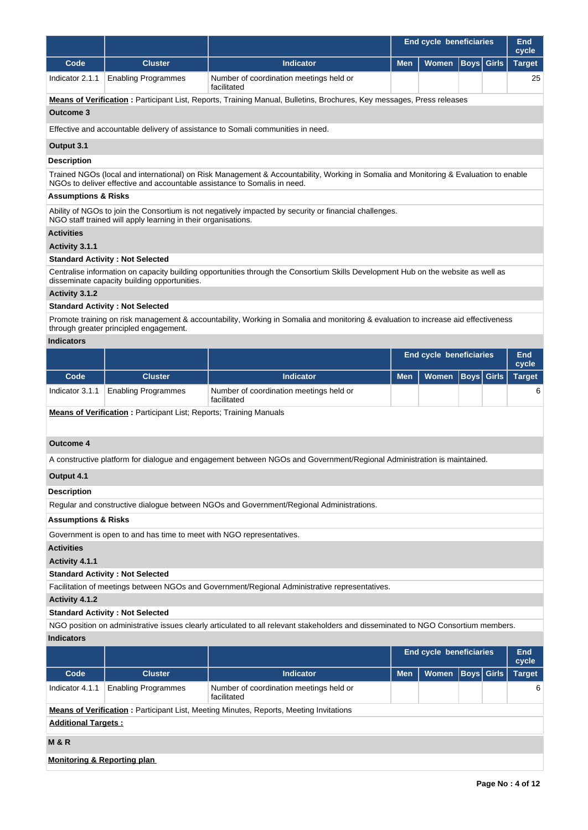|                                |                                                                           |                                                                                                                                      | <b>End cycle beneficiaries</b> |                                | End<br>cycle                |              |                     |
|--------------------------------|---------------------------------------------------------------------------|--------------------------------------------------------------------------------------------------------------------------------------|--------------------------------|--------------------------------|-----------------------------|--------------|---------------------|
| Code                           | <b>Cluster</b>                                                            | <b>Indicator</b>                                                                                                                     | <b>Men</b>                     | Women                          | <b>Boys</b>                 | <b>Girls</b> | <b>Target</b>       |
| Indicator 2.1.1                | <b>Enabling Programmes</b>                                                | Number of coordination meetings held or<br>facilitated                                                                               |                                |                                |                             |              | 25                  |
|                                |                                                                           | Means of Verification: Participant List, Reports, Training Manual, Bulletins, Brochures, Key messages, Press releases                |                                |                                |                             |              |                     |
| <b>Outcome 3</b>               |                                                                           |                                                                                                                                      |                                |                                |                             |              |                     |
|                                |                                                                           | Effective and accountable delivery of assistance to Somali communities in need.                                                      |                                |                                |                             |              |                     |
| Output 3.1                     |                                                                           |                                                                                                                                      |                                |                                |                             |              |                     |
| <b>Description</b>             |                                                                           |                                                                                                                                      |                                |                                |                             |              |                     |
|                                | NGOs to deliver effective and accountable assistance to Somalis in need.  | Trained NGOs (local and international) on Risk Management & Accountability, Working in Somalia and Monitoring & Evaluation to enable |                                |                                |                             |              |                     |
| <b>Assumptions &amp; Risks</b> |                                                                           |                                                                                                                                      |                                |                                |                             |              |                     |
|                                | NGO staff trained will apply learning in their organisations.             | Ability of NGOs to join the Consortium is not negatively impacted by security or financial challenges.                               |                                |                                |                             |              |                     |
| <b>Activities</b>              |                                                                           |                                                                                                                                      |                                |                                |                             |              |                     |
| Activity 3.1.1                 |                                                                           |                                                                                                                                      |                                |                                |                             |              |                     |
|                                | <b>Standard Activity: Not Selected</b>                                    |                                                                                                                                      |                                |                                |                             |              |                     |
|                                | disseminate capacity building opportunities.                              | Centralise information on capacity building opportunities through the Consortium Skills Development Hub on the website as well as    |                                |                                |                             |              |                     |
| Activity 3.1.2                 |                                                                           |                                                                                                                                      |                                |                                |                             |              |                     |
|                                | <b>Standard Activity: Not Selected</b>                                    |                                                                                                                                      |                                |                                |                             |              |                     |
|                                | through greater principled engagement.                                    | Promote training on risk management & accountability, Working in Somalia and monitoring & evaluation to increase aid effectiveness   |                                |                                |                             |              |                     |
| <b>Indicators</b>              |                                                                           |                                                                                                                                      |                                |                                |                             |              |                     |
|                                |                                                                           |                                                                                                                                      |                                | <b>End cycle beneficiaries</b> |                             |              | End<br>cycle        |
| Code                           | <b>Cluster</b>                                                            | <b>Indicator</b>                                                                                                                     | <b>Men</b>                     | Women                          | <b>Girls</b><br><b>Boys</b> |              |                     |
| Indicator 3.1.1                | <b>Enabling Programmes</b>                                                | Number of coordination meetings held or<br>facilitated                                                                               |                                |                                |                             |              | 6                   |
|                                | <b>Means of Verification:</b> Participant List; Reports; Training Manuals |                                                                                                                                      |                                |                                |                             |              |                     |
| <b>Outcome 4</b>               |                                                                           |                                                                                                                                      |                                |                                |                             |              |                     |
|                                |                                                                           | A constructive platform for dialogue and engagement between NGOs and Government/Regional Administration is maintained.               |                                |                                |                             |              |                     |
| Output 4.1                     |                                                                           |                                                                                                                                      |                                |                                |                             |              |                     |
| <b>Description</b>             |                                                                           |                                                                                                                                      |                                |                                |                             |              |                     |
|                                |                                                                           | Regular and constructive dialogue between NGOs and Government/Regional Administrations.                                              |                                |                                |                             |              |                     |
| <b>Assumptions &amp; Risks</b> |                                                                           |                                                                                                                                      |                                |                                |                             |              |                     |
|                                | Government is open to and has time to meet with NGO representatives.      |                                                                                                                                      |                                |                                |                             |              |                     |
| <b>Activities</b>              |                                                                           |                                                                                                                                      |                                |                                |                             |              |                     |
| Activity 4.1.1                 |                                                                           |                                                                                                                                      |                                |                                |                             |              |                     |
|                                | <b>Standard Activity: Not Selected</b>                                    |                                                                                                                                      |                                |                                |                             |              |                     |
|                                |                                                                           | Facilitation of meetings between NGOs and Government/Regional Administrative representatives.                                        |                                |                                |                             |              |                     |
| Activity 4.1.2                 |                                                                           |                                                                                                                                      |                                |                                |                             |              |                     |
|                                | <b>Standard Activity: Not Selected</b>                                    |                                                                                                                                      |                                |                                |                             |              |                     |
|                                |                                                                           | NGO position on administrative issues clearly articulated to all relevant stakeholders and disseminated to NGO Consortium members.   |                                |                                |                             |              |                     |
| <b>Indicators</b>              |                                                                           |                                                                                                                                      |                                |                                |                             |              |                     |
|                                |                                                                           |                                                                                                                                      |                                | End cycle beneficiaries        |                             |              | <b>End</b><br>cycle |

|                            |                             |                                                                                               |            | <b>LIN VYVID DUIDIDINING</b> |  |                   | .<br>cycle    |  |  |  |  |
|----------------------------|-----------------------------|-----------------------------------------------------------------------------------------------|------------|------------------------------|--|-------------------|---------------|--|--|--|--|
| Code                       | <b>Cluster</b>              | <b>Indicator</b>                                                                              | <b>Men</b> | Women                        |  | <b>Boys Girls</b> | <b>Target</b> |  |  |  |  |
| Indicator 4.1.1            | <b>Enabling Programmes</b>  | Number of coordination meetings held or<br>facilitated                                        |            |                              |  |                   | 6             |  |  |  |  |
|                            |                             | <b>Means of Verification:</b> Participant List, Meeting Minutes, Reports, Meeting Invitations |            |                              |  |                   |               |  |  |  |  |
| <b>Additional Targets:</b> |                             |                                                                                               |            |                              |  |                   |               |  |  |  |  |
| <b>M&amp;R</b>             |                             |                                                                                               |            |                              |  |                   |               |  |  |  |  |
|                            | Monitoring & Reporting plan |                                                                                               |            |                              |  |                   |               |  |  |  |  |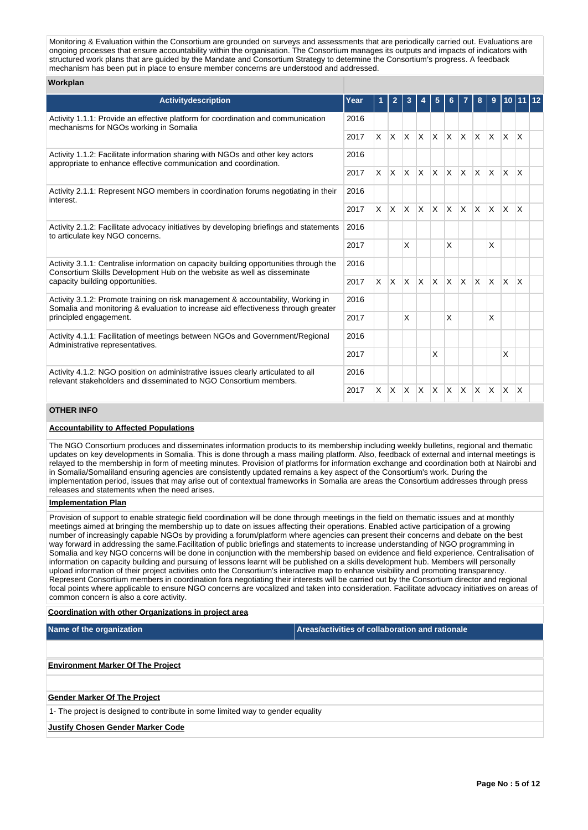Monitoring & Evaluation within the Consortium are grounded on surveys and assessments that are periodically carried out. Evaluations are ongoing processes that ensure accountability within the organisation. The Consortium manages its outputs and impacts of indicators with structured work plans that are guided by the Mandate and Consortium Strategy to determine the Consortium's progress. A feedback mechanism has been put in place to ensure member concerns are understood and addressed.

## **Workplan**

| <b>Activitydescription</b>                                                                                                                                            | Year |          | 2            | 3            |              | 5        |                         |              | 8            | 9            | 10.          |              |  |
|-----------------------------------------------------------------------------------------------------------------------------------------------------------------------|------|----------|--------------|--------------|--------------|----------|-------------------------|--------------|--------------|--------------|--------------|--------------|--|
| Activity 1.1.1: Provide an effective platform for coordination and communication<br>mechanisms for NGOs working in Somalia                                            | 2016 |          |              |              |              |          |                         |              |              |              |              |              |  |
|                                                                                                                                                                       | 2017 | $\times$ | $\mathsf{X}$ | $\mathsf{X}$ | <b>X</b>     | IX.      | $\mathsf{x}$            | $\mathsf{X}$ | $X$ $X$      |              | $\mathsf{X}$ | $\mathsf{X}$ |  |
| Activity 1.1.2: Facilitate information sharing with NGOs and other key actors<br>appropriate to enhance effective communication and coordination.                     | 2016 |          |              |              |              |          |                         |              |              |              |              |              |  |
|                                                                                                                                                                       | 2017 | X.       |              | $X$ $X$ $X$  |              | <b>X</b> | <b>X</b>                | IX.          | $\mathsf{X}$ | ΙX.          | ΙX.          | $\mathsf{X}$ |  |
| Activity 2.1.1: Represent NGO members in coordination forums negotiating in their<br>interest.                                                                        | 2016 |          |              |              |              |          |                         |              |              |              |              |              |  |
|                                                                                                                                                                       | 2017 | X        | <b>X</b>     | ΙX.          | $\mathsf{X}$ | <b>X</b> | $\mathsf{X}$            | ΙX.          | $\mathsf{X}$ | <b>X</b>     | ΙX.          | ΙX           |  |
| Activity 2.1.2: Facilitate advocacy initiatives by developing briefings and statements<br>to articulate key NGO concerns.                                             | 2016 |          |              |              |              |          |                         |              |              |              |              |              |  |
|                                                                                                                                                                       | 2017 |          |              | X            |              |          | X                       |              |              | X            |              |              |  |
| Activity 3.1.1: Centralise information on capacity building opportunities through the<br>Consortium Skills Development Hub on the website as well as disseminate      | 2016 |          |              |              |              |          |                         |              |              |              |              |              |  |
| capacity building opportunities.                                                                                                                                      | 2017 | $\times$ | $\mathsf{X}$ | $\mathsf{X}$ | $\mathsf{X}$ | <b>X</b> | $\overline{\mathsf{x}}$ | $\mathsf{X}$ | <b>X</b>     | $\mathsf{X}$ | Ιx.          | $\mathsf{X}$ |  |
| Activity 3.1.2: Promote training on risk management & accountability, Working in<br>Somalia and monitoring & evaluation to increase aid effectiveness through greater | 2016 |          |              |              |              |          |                         |              |              |              |              |              |  |
| principled engagement.                                                                                                                                                | 2017 |          |              | X            |              |          | X                       |              |              | X            |              |              |  |
| Activity 4.1.1: Facilitation of meetings between NGOs and Government/Regional<br>Administrative representatives.                                                      | 2016 |          |              |              |              |          |                         |              |              |              |              |              |  |
|                                                                                                                                                                       | 2017 |          |              |              |              | X        |                         |              |              |              | X            |              |  |
| Activity 4.1.2: NGO position on administrative issues clearly articulated to all<br>relevant stakeholders and disseminated to NGO Consortium members.                 | 2016 |          |              |              |              |          |                         |              |              |              |              |              |  |
|                                                                                                                                                                       | 2017 | X        | X.           | ΙX.          | X.           | <b>X</b> | $\mathsf{x}$            | ΙX.          | $\times$     | <b>X</b>     | IX.          | ΙX           |  |

# **OTHER INFO**

## **Accountability to Affected Populations**

The NGO Consortium produces and disseminates information products to its membership including weekly bulletins, regional and thematic updates on key developments in Somalia. This is done through a mass mailing platform. Also, feedback of external and internal meetings is relayed to the membership in form of meeting minutes. Provision of platforms for information exchange and coordination both at Nairobi and in Somalia/Somaliland ensuring agencies are consistently updated remains a key aspect of the Consortium's work. During the implementation period, issues that may arise out of contextual frameworks in Somalia are areas the Consortium addresses through press releases and statements when the need arises.

### **Implementation Plan**

Provision of support to enable strategic field coordination will be done through meetings in the field on thematic issues and at monthly meetings aimed at bringing the membership up to date on issues affecting their operations. Enabled active participation of a growing number of increasingly capable NGOs by providing a forum/platform where agencies can present their concerns and debate on the best way forward in addressing the same.Facilitation of public briefings and statements to increase understanding of NGO programming in Somalia and key NGO concerns will be done in conjunction with the membership based on evidence and field experience. Centralisation of information on capacity building and pursuing of lessons learnt will be published on a skills development hub. Members will personally upload information of their project activities onto the Consortium's interactive map to enhance visibility and promoting transparency. Represent Consortium members in coordination fora negotiating their interests will be carried out by the Consortium director and regional focal points where applicable to ensure NGO concerns are vocalized and taken into consideration. Facilitate advocacy initiatives on areas of common concern is also a core activity.

### **Coordination with other Organizations in project area**

**Name of the organization Areas/activities of collaboration and rationale** 

**Environment Marker Of The Project**

## **Gender Marker Of The Project**

1- The project is designed to contribute in some limited way to gender equality

### **Justify Chosen Gender Marker Code**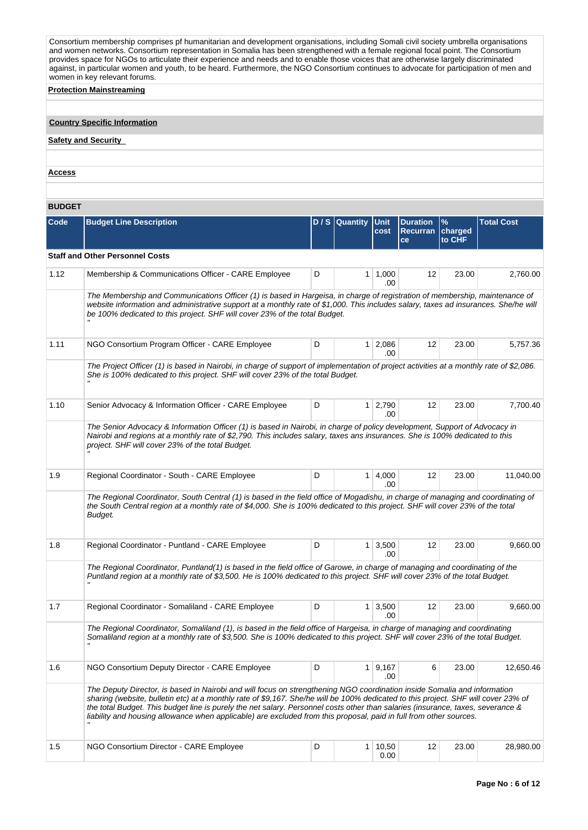Consortium membership comprises pf humanitarian and development organisations, including Somali civil society umbrella organisations and women networks. Consortium representation in Somalia has been strengthened with a female regional focal point. The Consortium provides space for NGOs to articulate their experience and needs and to enable those voices that are otherwise largely discriminated against, in particular women and youth, to be heard. Furthermore, the NGO Consortium continues to advocate for participation of men and women in key relevant forums.

## **Protection Mainstreaming**

# **Country Specific Information**

# **Safety and Security**

**Access**

# **BUDGET**

| Code | <b>Budget Line Description</b>                                                                                                                                                                                                                                                                                                                                                                                                                                                                                          |   | D / S Quantity | Unit<br>cost          | <b>Duration</b><br><b>Recurran</b><br>ce | $\%$<br>charged<br>to CHF | <b>Total Cost</b> |
|------|-------------------------------------------------------------------------------------------------------------------------------------------------------------------------------------------------------------------------------------------------------------------------------------------------------------------------------------------------------------------------------------------------------------------------------------------------------------------------------------------------------------------------|---|----------------|-----------------------|------------------------------------------|---------------------------|-------------------|
|      | <b>Staff and Other Personnel Costs</b>                                                                                                                                                                                                                                                                                                                                                                                                                                                                                  |   |                |                       |                                          |                           |                   |
| 1.12 | Membership & Communications Officer - CARE Employee                                                                                                                                                                                                                                                                                                                                                                                                                                                                     | D | 1 <sup>1</sup> | 1,000<br>.00          | 12                                       | 23.00                     | 2,760.00          |
|      | The Membership and Communications Officer (1) is based in Hargeisa, in charge of registration of membership, maintenance of<br>website information and administrative support at a monthly rate of \$1,000. This includes salary, taxes ad insurances. She/he will<br>be 100% dedicated to this project. SHF will cover 23% of the total Budget.                                                                                                                                                                        |   |                |                       |                                          |                           |                   |
| 1.11 | NGO Consortium Program Officer - CARE Employee                                                                                                                                                                                                                                                                                                                                                                                                                                                                          | D | 1 <sup>1</sup> | 2,086<br>.00          | 12                                       | 23.00                     | 5,757.36          |
|      | The Project Officer (1) is based in Nairobi, in charge of support of implementation of project activities at a monthly rate of \$2,086.<br>She is 100% dedicated to this project. SHF will cover 23% of the total Budget.                                                                                                                                                                                                                                                                                               |   |                |                       |                                          |                           |                   |
| 1.10 | Senior Advocacy & Information Officer - CARE Employee                                                                                                                                                                                                                                                                                                                                                                                                                                                                   | D |                | $1 \mid 2,790$<br>.00 | 12                                       | 23.00                     | 7,700.40          |
|      | The Senior Advocacy & Information Officer (1) is based in Nairobi, in charge of policy development, Support of Advocacy in<br>Nairobi and regions at a monthly rate of \$2,790. This includes salary, taxes ans insurances. She is 100% dedicated to this<br>project. SHF will cover 23% of the total Budget.                                                                                                                                                                                                           |   |                |                       |                                          |                           |                   |
| 1.9  | Regional Coordinator - South - CARE Employee                                                                                                                                                                                                                                                                                                                                                                                                                                                                            | D | 1 <sup>1</sup> | 4,000<br>.00          | 12                                       | 23.00                     | 11,040.00         |
|      | The Regional Coordinator, South Central (1) is based in the field office of Mogadishu, in charge of managing and coordinating of<br>the South Central region at a monthly rate of \$4,000. She is 100% dedicated to this project. SHF will cover 23% of the total<br>Budget.                                                                                                                                                                                                                                            |   |                |                       |                                          |                           |                   |
| 1.8  | Regional Coordinator - Puntland - CARE Employee                                                                                                                                                                                                                                                                                                                                                                                                                                                                         | D |                | $1 \mid 3,500$<br>.00 | 12                                       | 23.00                     | 9,660.00          |
|      | The Regional Coordinator, Puntland(1) is based in the field office of Garowe, in charge of managing and coordinating of the<br>Puntland region at a monthly rate of \$3,500. He is 100% dedicated to this project. SHF will cover 23% of the total Budget.                                                                                                                                                                                                                                                              |   |                |                       |                                          |                           |                   |
| 1.7  | Regional Coordinator - Somaliland - CARE Employee                                                                                                                                                                                                                                                                                                                                                                                                                                                                       | D |                | $1 \mid 3,500$<br>.00 | 12                                       | 23.00                     | 9.660.00          |
|      | The Regional Coordinator, Somaliland (1), is based in the field office of Hargeisa, in charge of managing and coordinating<br>Somaliland region at a monthly rate of \$3,500. She is 100% dedicated to this project. SHF will cover 23% of the total Budget.                                                                                                                                                                                                                                                            |   |                |                       |                                          |                           |                   |
| 1.6  | NGO Consortium Deputy Director - CARE Employee                                                                                                                                                                                                                                                                                                                                                                                                                                                                          | D |                | $1 \mid 9,167$<br>.00 | 6                                        | 23.00                     | 12,650.46         |
|      | The Deputy Director, is based in Nairobi and will focus on strengthening NGO coordination inside Somalia and information<br>sharing (website, bulletin etc) at a monthly rate of \$9,167. She/he will be 100% dedicated to this project. SHF will cover 23% of<br>the total Budget. This budget line is purely the net salary. Personnel costs other than salaries (insurance, taxes, severance &<br>liability and housing allowance when applicable) are excluded from this proposal, paid in full from other sources. |   |                |                       |                                          |                           |                   |
| 1.5  | NGO Consortium Director - CARE Employee                                                                                                                                                                                                                                                                                                                                                                                                                                                                                 | D | 1 <sup>1</sup> | 10,50<br>0.00         | 12                                       | 23.00                     | 28,980.00         |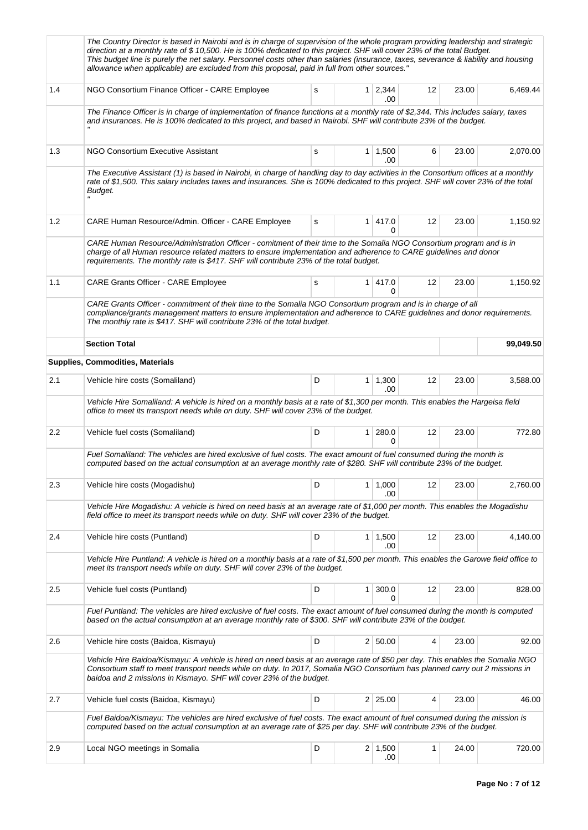|     | The Country Director is based in Nairobi and is in charge of supervision of the whole program providing leadership and strategic<br>direction at a monthly rate of \$10,500. He is 100% dedicated to this project. SHF will cover 23% of the total Budget.<br>This budget line is purely the net salary. Personnel costs other than salaries (insurance, taxes, severance & liability and housing<br>allowance when applicable) are excluded from this proposal, paid in full from other sources." |   |                |                       |    |       |           |
|-----|----------------------------------------------------------------------------------------------------------------------------------------------------------------------------------------------------------------------------------------------------------------------------------------------------------------------------------------------------------------------------------------------------------------------------------------------------------------------------------------------------|---|----------------|-----------------------|----|-------|-----------|
| 1.4 | NGO Consortium Finance Officer - CARE Employee                                                                                                                                                                                                                                                                                                                                                                                                                                                     | s |                | $1 \mid 2,344$<br>.00 | 12 | 23.00 | 6,469.44  |
|     | The Finance Officer is in charge of implementation of finance functions at a monthly rate of \$2,344. This includes salary, taxes<br>and insurances. He is 100% dedicated to this project, and based in Nairobi. SHF will contribute 23% of the budget.                                                                                                                                                                                                                                            |   |                |                       |    |       |           |
| 1.3 | NGO Consortium Executive Assistant                                                                                                                                                                                                                                                                                                                                                                                                                                                                 | s | 1              | 1,500<br>.00          | 6  | 23.00 | 2.070.00  |
|     | The Executive Assistant (1) is based in Nairobi, in charge of handling day to day activities in the Consortium offices at a monthly<br>rate of \$1,500. This salary includes taxes and insurances. She is 100% dedicated to this project. SHF will cover 23% of the total<br>Budget.                                                                                                                                                                                                               |   |                |                       |    |       |           |
| 1.2 | CARE Human Resource/Admin. Officer - CARE Employee                                                                                                                                                                                                                                                                                                                                                                                                                                                 | s | 1 <sup>1</sup> | 417.0<br>0            | 12 | 23.00 | 1,150.92  |
|     | CARE Human Resource/Administration Officer - comitment of their time to the Somalia NGO Consortium program and is in<br>charge of all Human resource related matters to ensure implementation and adherence to CARE guidelines and donor<br>requirements. The monthly rate is \$417. SHF will contribute 23% of the total budget.                                                                                                                                                                  |   |                |                       |    |       |           |
| 1.1 | <b>CARE Grants Officer - CARE Employee</b>                                                                                                                                                                                                                                                                                                                                                                                                                                                         | s | 1 <sup>1</sup> | 417.0<br>0            | 12 | 23.00 | 1,150.92  |
|     | CARE Grants Officer - commitment of their time to the Somalia NGO Consortium program and is in charge of all<br>compliance/grants management matters to ensure implementation and adherence to CARE guidelines and donor requirements.<br>The monthly rate is \$417. SHF will contribute 23% of the total budget.                                                                                                                                                                                  |   |                |                       |    |       |           |
|     | <b>Section Total</b>                                                                                                                                                                                                                                                                                                                                                                                                                                                                               |   |                |                       |    |       | 99,049.50 |
|     | <b>Supplies, Commodities, Materials</b>                                                                                                                                                                                                                                                                                                                                                                                                                                                            |   |                |                       |    |       |           |
| 2.1 | Vehicle hire costs (Somaliland)                                                                                                                                                                                                                                                                                                                                                                                                                                                                    | D |                | $1 \mid 1,300$<br>.00 | 12 | 23.00 | 3,588.00  |
|     | Vehicle Hire Somaliland: A vehicle is hired on a monthly basis at a rate of \$1,300 per month. This enables the Hargeisa field<br>office to meet its transport needs while on duty. SHF will cover 23% of the budget.                                                                                                                                                                                                                                                                              |   |                |                       |    |       |           |
| 2.2 | Vehicle fuel costs (Somaliland)                                                                                                                                                                                                                                                                                                                                                                                                                                                                    | D | $\mathbf{1}$   | 280.0<br>$\Omega$     | 12 | 23.00 | 772.80    |
|     | Fuel Somaliland: The vehicles are hired exclusive of fuel costs. The exact amount of fuel consumed during the month is<br>computed based on the actual consumption at an average monthly rate of \$280. SHF will contribute 23% of the budget.                                                                                                                                                                                                                                                     |   |                |                       |    |       |           |
| 2.3 | Vehicle hire costs (Mogadishu)                                                                                                                                                                                                                                                                                                                                                                                                                                                                     | D | 1              | 1,000<br>.00          | 12 | 23.00 | 2,760.00  |
|     | Vehicle Hire Mogadishu: A vehicle is hired on need basis at an average rate of \$1,000 per month. This enables the Mogadishu<br>field office to meet its transport needs while on duty. SHF will cover 23% of the budget.                                                                                                                                                                                                                                                                          |   |                |                       |    |       |           |
| 2.4 | Vehicle hire costs (Puntland)                                                                                                                                                                                                                                                                                                                                                                                                                                                                      | D |                | 1 1,500<br>.00        | 12 | 23.00 | 4,140.00  |
|     | Vehicle Hire Puntland: A vehicle is hired on a monthly basis at a rate of \$1,500 per month. This enables the Garowe field office to<br>meet its transport needs while on duty. SHF will cover 23% of the budget.                                                                                                                                                                                                                                                                                  |   |                |                       |    |       |           |
| 2.5 | Vehicle fuel costs (Puntland)                                                                                                                                                                                                                                                                                                                                                                                                                                                                      | D | 1              | 300.0<br>0            | 12 | 23.00 | 828.00    |
|     | Fuel Puntland: The vehicles are hired exclusive of fuel costs. The exact amount of fuel consumed during the month is computed<br>based on the actual consumption at an average monthly rate of \$300. SHF will contribute 23% of the budget.                                                                                                                                                                                                                                                       |   |                |                       |    |       |           |
| 2.6 | Vehicle hire costs (Baidoa, Kismayu)                                                                                                                                                                                                                                                                                                                                                                                                                                                               | D |                | 2   50.00             | 4  | 23.00 | 92.00     |
|     | Vehicle Hire Baidoa/Kismayu: A vehicle is hired on need basis at an average rate of \$50 per day. This enables the Somalia NGO<br>Consortium staff to meet transport needs while on duty. In 2017, Somalia NGO Consortium has planned carry out 2 missions in<br>baidoa and 2 missions in Kismayo. SHF will cover 23% of the budget.                                                                                                                                                               |   |                |                       |    |       |           |
| 2.7 | Vehicle fuel costs (Baidoa, Kismayu)                                                                                                                                                                                                                                                                                                                                                                                                                                                               | D |                | $2 \mid 25.00$        | 4  | 23.00 | 46.00     |
|     | Fuel Baidoa/Kismayu: The vehicles are hired exclusive of fuel costs. The exact amount of fuel consumed during the mission is<br>computed based on the actual consumption at an average rate of \$25 per day. SHF will contribute 23% of the budget.                                                                                                                                                                                                                                                |   |                |                       |    |       |           |
| 2.9 | Local NGO meetings in Somalia                                                                                                                                                                                                                                                                                                                                                                                                                                                                      | D |                | $2 \mid 1,500$<br>.00 | 1  | 24.00 | 720.00    |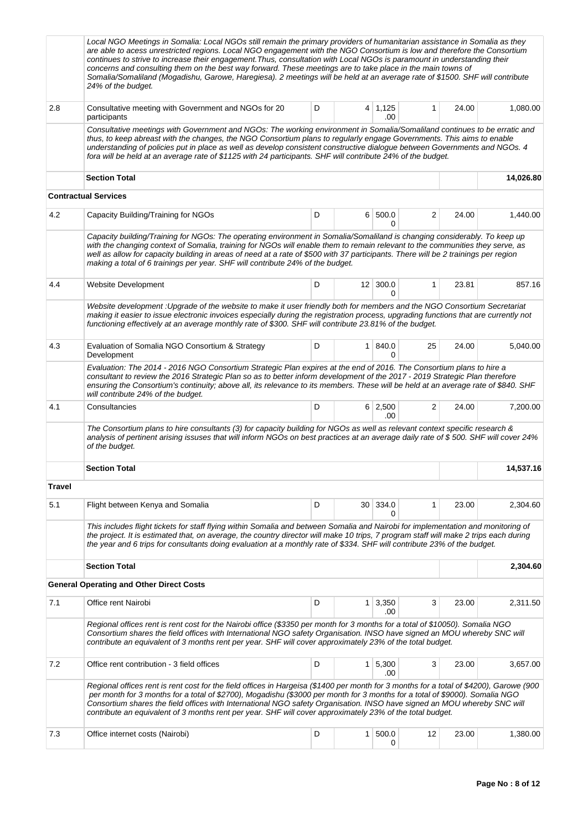|               | Local NGO Meetings in Somalia: Local NGOs still remain the primary providers of humanitarian assistance in Somalia as they<br>are able to acess unrestricted regions. Local NGO engagement with the NGO Consortium is low and therefore the Consortium<br>continues to strive to increase their engagement. Thus, consultation with Local NGOs is paramount in understanding their<br>concerns and consulting them on the best way forward. These meetings are to take place in the main towns of<br>Somalia/Somaliland (Mogadishu, Garowe, Haregiesa). 2 meetings will be held at an average rate of \$1500. SHF will contribute<br>24% of the budget. |       |                 |                       |                |       |           |  |  |  |  |
|---------------|---------------------------------------------------------------------------------------------------------------------------------------------------------------------------------------------------------------------------------------------------------------------------------------------------------------------------------------------------------------------------------------------------------------------------------------------------------------------------------------------------------------------------------------------------------------------------------------------------------------------------------------------------------|-------|-----------------|-----------------------|----------------|-------|-----------|--|--|--|--|
| 2.8           | Consultative meeting with Government and NGOs for 20<br>participants                                                                                                                                                                                                                                                                                                                                                                                                                                                                                                                                                                                    | D     |                 | $4 \mid 1,125$<br>.00 | $\mathbf{1}$   | 24.00 | 1,080.00  |  |  |  |  |
|               | Consultative meetings with Government and NGOs: The working environment in Somalia/Somaliland continues to be erratic and<br>thus, to keep abreast with the changes, the NGO Consortium plans to regularly engage Governments. This aims to enable<br>understanding of policies put in place as well as develop consistent constructive dialogue between Governments and NGOs. 4<br>fora will be held at an average rate of \$1125 with 24 participants. SHF will contribute 24% of the budget.                                                                                                                                                         |       |                 |                       |                |       |           |  |  |  |  |
|               | <b>Section Total</b>                                                                                                                                                                                                                                                                                                                                                                                                                                                                                                                                                                                                                                    |       |                 |                       |                |       | 14,026.80 |  |  |  |  |
|               | <b>Contractual Services</b>                                                                                                                                                                                                                                                                                                                                                                                                                                                                                                                                                                                                                             |       |                 |                       |                |       |           |  |  |  |  |
| 4.2           | Capacity Building/Training for NGOs                                                                                                                                                                                                                                                                                                                                                                                                                                                                                                                                                                                                                     | 24.00 | 1,440.00        |                       |                |       |           |  |  |  |  |
|               | Capacity building/Training for NGOs: The operating environment in Somalia/Somaliland is changing considerably. To keep up<br>with the changing context of Somalia, training for NGOs will enable them to remain relevant to the communities they serve, as<br>well as allow for capacity building in areas of need at a rate of \$500 with 37 participants. There will be 2 trainings per region<br>making a total of 6 trainings per year. SHF will contribute 24% of the budget.                                                                                                                                                                      |       |                 |                       |                |       |           |  |  |  |  |
| 4.4           | Website Development                                                                                                                                                                                                                                                                                                                                                                                                                                                                                                                                                                                                                                     | D     |                 | $12 \mid 300.0$<br>0  | $\mathbf{1}$   | 23.81 | 857.16    |  |  |  |  |
|               | Website development : Upgrade of the website to make it user friendly both for members and the NGO Consortium Secretariat<br>making it easier to issue electronic invoices especially during the registration process, upgrading functions that are currently not<br>functioning effectively at an average monthly rate of \$300. SHF will contribute 23.81% of the budget.                                                                                                                                                                                                                                                                             |       |                 |                       |                |       |           |  |  |  |  |
| 4.3           | Evaluation of Somalia NGO Consortium & Strategy<br>Development                                                                                                                                                                                                                                                                                                                                                                                                                                                                                                                                                                                          | D     | 1               | 840.0<br>0            | 25             | 24.00 | 5,040.00  |  |  |  |  |
|               | Evaluation: The 2014 - 2016 NGO Consortium Strategic Plan expires at the end of 2016. The Consortium plans to hire a<br>consultant to review the 2016 Strategic Plan so as to better inform development of the 2017 - 2019 Strategic Plan therefore<br>ensuring the Consortium's continuity; above all, its relevance to its members. These will be held at an average rate of \$840. SHF<br>will contribute 24% of the budget.                                                                                                                                                                                                                         |       |                 |                       |                |       |           |  |  |  |  |
| 4.1           | Consultancies                                                                                                                                                                                                                                                                                                                                                                                                                                                                                                                                                                                                                                           | D     |                 | $6 \mid 2,500$<br>.00 | $\overline{2}$ | 24.00 | 7,200.00  |  |  |  |  |
|               | The Consortium plans to hire consultants (3) for capacity building for NGOs as well as relevant context specific research &<br>analysis of pertinent arising issuses that will inform NGOs on best practices at an average daily rate of \$500. SHF will cover 24%<br>of the budget.                                                                                                                                                                                                                                                                                                                                                                    |       |                 |                       |                |       |           |  |  |  |  |
|               | <b>Section Total</b>                                                                                                                                                                                                                                                                                                                                                                                                                                                                                                                                                                                                                                    |       |                 |                       |                |       | 14,537.16 |  |  |  |  |
| <b>Travel</b> |                                                                                                                                                                                                                                                                                                                                                                                                                                                                                                                                                                                                                                                         |       |                 |                       |                |       |           |  |  |  |  |
| 5.1           | Flight between Kenya and Somalia                                                                                                                                                                                                                                                                                                                                                                                                                                                                                                                                                                                                                        | D     | 30 <sup>1</sup> | 334.0<br>0            | 1              | 23.00 | 2,304.60  |  |  |  |  |
|               | This includes flight tickets for staff flying within Somalia and between Somalia and Nairobi for implementation and monitoring of<br>the project. It is estimated that, on average, the country director will make 10 trips, 7 program staff will make 2 trips each during<br>the year and 6 trips for consultants doing evaluation at a monthly rate of \$334. SHF will contribute 23% of the budget.                                                                                                                                                                                                                                                  |       |                 |                       |                |       |           |  |  |  |  |
|               | <b>Section Total</b>                                                                                                                                                                                                                                                                                                                                                                                                                                                                                                                                                                                                                                    |       |                 |                       |                |       | 2,304.60  |  |  |  |  |
|               | <b>General Operating and Other Direct Costs</b>                                                                                                                                                                                                                                                                                                                                                                                                                                                                                                                                                                                                         |       |                 |                       |                |       |           |  |  |  |  |
| 7.1           | Office rent Nairobi                                                                                                                                                                                                                                                                                                                                                                                                                                                                                                                                                                                                                                     | D     |                 | $1 \mid 3,350$<br>.00 | 3              | 23.00 | 2,311.50  |  |  |  |  |
|               | Regional offices rent is rent cost for the Nairobi office (\$3350 per month for 3 months for a total of \$10050). Somalia NGO<br>Consortium shares the field offices with International NGO safety Organisation. INSO have signed an MOU whereby SNC will<br>contribute an equivalent of 3 months rent per year. SHF will cover approximately 23% of the total budget.                                                                                                                                                                                                                                                                                  |       |                 |                       |                |       |           |  |  |  |  |
| 7.2           | Office rent contribution - 3 field offices                                                                                                                                                                                                                                                                                                                                                                                                                                                                                                                                                                                                              | D     |                 | $1 \mid 5,300$<br>.00 | 3              | 23.00 | 3,657.00  |  |  |  |  |
|               | Regional offices rent is rent cost for the field offices in Hargeisa (\$1400 per month for 3 months for a total of \$4200), Garowe (900<br>per month for 3 months for a total of \$2700), Mogadishu (\$3000 per month for 3 months for a total of \$9000). Somalia NGO<br>Consortium shares the field offices with International NGO safety Organisation. INSO have signed an MOU whereby SNC will<br>contribute an equivalent of 3 months rent per year. SHF will cover approximately 23% of the total budget.                                                                                                                                         |       |                 |                       |                |       |           |  |  |  |  |
| 7.3           | Office internet costs (Nairobi)                                                                                                                                                                                                                                                                                                                                                                                                                                                                                                                                                                                                                         | D     | 1 <sup>1</sup>  | 500.0<br>0            | 12             | 23.00 | 1,380.00  |  |  |  |  |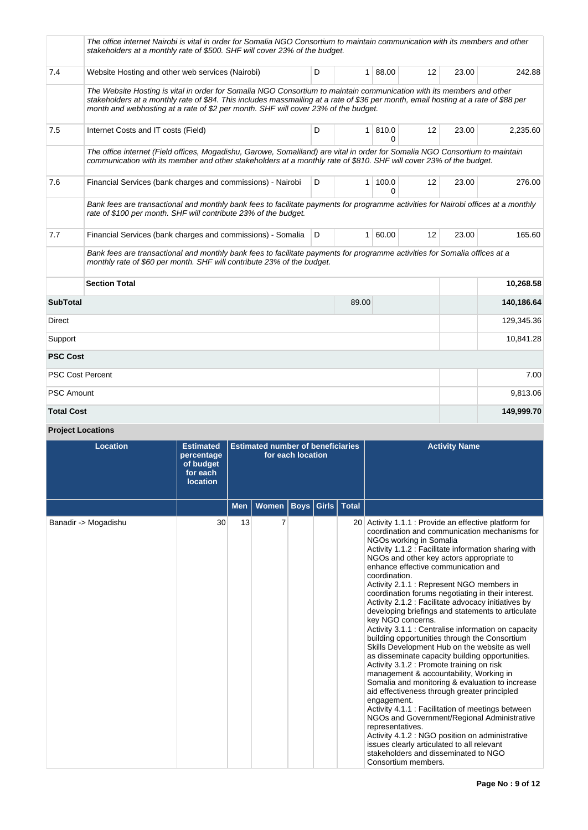|                         | The office internet Nairobi is vital in order for Somalia NGO Consortium to maintain communication with its members and other<br>stakeholders at a monthly rate of \$500. SHF will cover 23% of the budget.                                                                                                                                       |            |              |           |                   |       |            |  |  |  |  |
|-------------------------|---------------------------------------------------------------------------------------------------------------------------------------------------------------------------------------------------------------------------------------------------------------------------------------------------------------------------------------------------|------------|--------------|-----------|-------------------|-------|------------|--|--|--|--|
| 7.4                     | Website Hosting and other web services (Nairobi)                                                                                                                                                                                                                                                                                                  | D          |              | 1   88.00 | $12 \overline{ }$ | 23.00 | 242.88     |  |  |  |  |
|                         | The Website Hosting is vital in order for Somalia NGO Consortium to maintain communication with its members and other<br>stakeholders at a monthly rate of \$84. This includes massmailing at a rate of \$36 per month, email hosting at a rate of \$88 per<br>month and webhosting at a rate of \$2 per month. SHF will cover 23% of the budget. |            |              |           |                   |       |            |  |  |  |  |
| 7.5                     | Internet Costs and IT costs (Field)                                                                                                                                                                                                                                                                                                               | 12         | 23.00        | 2,235.60  |                   |       |            |  |  |  |  |
|                         | The office internet (Field offices, Mogadishu, Garowe, Somaliland) are vital in order for Somalia NGO Consortium to maintain<br>communication with its member and other stakeholders at a monthly rate of \$810. SHF will cover 23% of the budget.                                                                                                |            |              |           |                   |       |            |  |  |  |  |
| 7.6                     | Financial Services (bank charges and commissions) - Nairobi                                                                                                                                                                                                                                                                                       | 12         | 23.00        | 276.00    |                   |       |            |  |  |  |  |
|                         | Bank fees are transactional and monthly bank fees to facilitate payments for programme activities for Nairobi offices at a monthly<br>rate of \$100 per month. SHF will contribute 23% of the budget.                                                                                                                                             |            |              |           |                   |       |            |  |  |  |  |
| 7.7                     | Financial Services (bank charges and commissions) - Somalia                                                                                                                                                                                                                                                                                       | D          | $\mathbf{1}$ | 60.00     | 12                | 23.00 | 165.60     |  |  |  |  |
|                         | Bank fees are transactional and monthly bank fees to facilitate payments for programme activities for Somalia offices at a<br>monthly rate of \$60 per month. SHF will contribute 23% of the budget.                                                                                                                                              |            |              |           |                   |       |            |  |  |  |  |
|                         | <b>Section Total</b>                                                                                                                                                                                                                                                                                                                              |            |              | 10,268.58 |                   |       |            |  |  |  |  |
| <b>SubTotal</b>         |                                                                                                                                                                                                                                                                                                                                                   | 140,186.64 |              |           |                   |       |            |  |  |  |  |
| Direct                  |                                                                                                                                                                                                                                                                                                                                                   |            |              |           |                   |       |            |  |  |  |  |
| Support                 | 10,841.28                                                                                                                                                                                                                                                                                                                                         |            |              |           |                   |       |            |  |  |  |  |
| <b>PSC Cost</b>         |                                                                                                                                                                                                                                                                                                                                                   |            |              |           |                   |       |            |  |  |  |  |
| <b>PSC Cost Percent</b> |                                                                                                                                                                                                                                                                                                                                                   |            |              |           |                   |       | 7.00       |  |  |  |  |
| <b>PSC Amount</b>       |                                                                                                                                                                                                                                                                                                                                                   |            |              |           |                   |       | 9,813.06   |  |  |  |  |
| <b>Total Cost</b>       |                                                                                                                                                                                                                                                                                                                                                   |            |              |           |                   |       | 149,999.70 |  |  |  |  |

**Project Locations**

| <b>Location</b>      | <b>Estimated</b><br>percentage<br>of budget<br>for each<br><b>location</b> |            | <b>Estimated number of beneficiaries</b> | for each location     |              | <b>Activity Name</b>                                                                                                                                                                                                                                                                                                                                                                                                                                                                                                                                                                                                                                                                                                                                                                                                                                                                                                                                                                                                                                                                                                                                                                                                                            |
|----------------------|----------------------------------------------------------------------------|------------|------------------------------------------|-----------------------|--------------|-------------------------------------------------------------------------------------------------------------------------------------------------------------------------------------------------------------------------------------------------------------------------------------------------------------------------------------------------------------------------------------------------------------------------------------------------------------------------------------------------------------------------------------------------------------------------------------------------------------------------------------------------------------------------------------------------------------------------------------------------------------------------------------------------------------------------------------------------------------------------------------------------------------------------------------------------------------------------------------------------------------------------------------------------------------------------------------------------------------------------------------------------------------------------------------------------------------------------------------------------|
|                      |                                                                            | <b>Men</b> | <b>Women</b>                             | <b>Boys   Girls  </b> | <b>Total</b> |                                                                                                                                                                                                                                                                                                                                                                                                                                                                                                                                                                                                                                                                                                                                                                                                                                                                                                                                                                                                                                                                                                                                                                                                                                                 |
| Banadir -> Mogadishu | 30                                                                         | 13         | 7                                        |                       |              | 20 Activity 1.1.1 : Provide an effective platform for<br>coordination and communication mechanisms for<br>NGOs working in Somalia<br>Activity 1.1.2 : Facilitate information sharing with<br>NGOs and other key actors appropriate to<br>enhance effective communication and<br>coordination.<br>Activity 2.1.1 : Represent NGO members in<br>coordination forums negotiating in their interest.<br>Activity 2.1.2 : Facilitate advocacy initiatives by<br>developing briefings and statements to articulate<br>key NGO concerns.<br>Activity 3.1.1 : Centralise information on capacity<br>building opportunities through the Consortium<br>Skills Development Hub on the website as well<br>as disseminate capacity building opportunities.<br>Activity 3.1.2 : Promote training on risk<br>management & accountability, Working in<br>Somalia and monitoring & evaluation to increase<br>aid effectiveness through greater principled<br>engagement.<br>Activity 4.1.1 : Facilitation of meetings between<br>NGOs and Government/Regional Administrative<br>representatives.<br>Activity 4.1.2 : NGO position on administrative<br>issues clearly articulated to all relevant<br>stakeholders and disseminated to NGO<br>Consortium members. |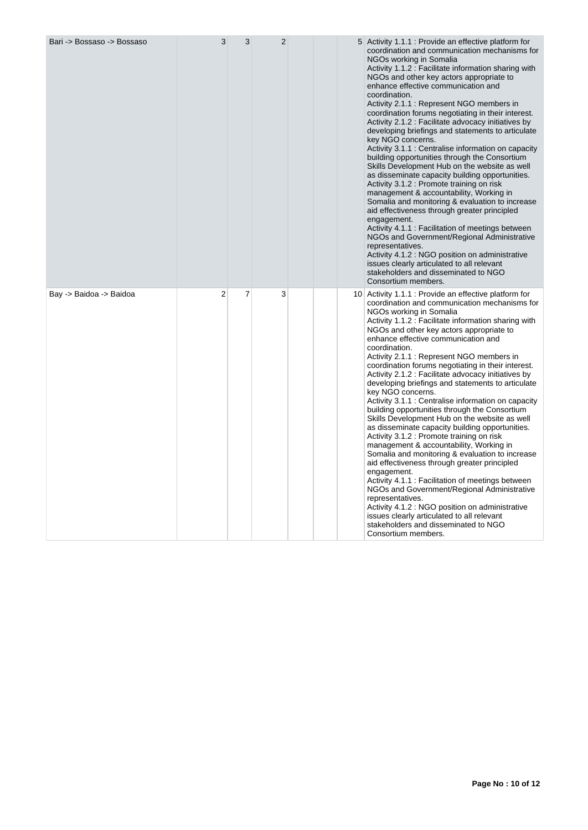| Bari -> Bossaso -> Bossaso | 3              | 3              | $\overline{2}$ |  | 5 Activity 1.1.1 : Provide an effective platform for<br>coordination and communication mechanisms for<br>NGOs working in Somalia<br>Activity 1.1.2 : Facilitate information sharing with<br>NGOs and other key actors appropriate to<br>enhance effective communication and<br>coordination.<br>Activity 2.1.1: Represent NGO members in<br>coordination forums negotiating in their interest.<br>Activity 2.1.2 : Facilitate advocacy initiatives by<br>developing briefings and statements to articulate<br>key NGO concerns.<br>Activity 3.1.1 : Centralise information on capacity<br>building opportunities through the Consortium<br>Skills Development Hub on the website as well<br>as disseminate capacity building opportunities.<br>Activity 3.1.2 : Promote training on risk<br>management & accountability, Working in<br>Somalia and monitoring & evaluation to increase<br>aid effectiveness through greater principled<br>engagement.<br>Activity 4.1.1: Facilitation of meetings between<br>NGOs and Government/Regional Administrative<br>representatives.<br>Activity 4.1.2 : NGO position on administrative<br>issues clearly articulated to all relevant<br>stakeholders and disseminated to NGO<br>Consortium members.    |
|----------------------------|----------------|----------------|----------------|--|-------------------------------------------------------------------------------------------------------------------------------------------------------------------------------------------------------------------------------------------------------------------------------------------------------------------------------------------------------------------------------------------------------------------------------------------------------------------------------------------------------------------------------------------------------------------------------------------------------------------------------------------------------------------------------------------------------------------------------------------------------------------------------------------------------------------------------------------------------------------------------------------------------------------------------------------------------------------------------------------------------------------------------------------------------------------------------------------------------------------------------------------------------------------------------------------------------------------------------------------------|
| Bay -> Baidoa -> Baidoa    | $\overline{2}$ | $\overline{7}$ | 3              |  | 10 Activity 1.1.1 : Provide an effective platform for<br>coordination and communication mechanisms for<br>NGOs working in Somalia<br>Activity 1.1.2 : Facilitate information sharing with<br>NGOs and other key actors appropriate to<br>enhance effective communication and<br>coordination.<br>Activity 2.1.1 : Represent NGO members in<br>coordination forums negotiating in their interest.<br>Activity 2.1.2 : Facilitate advocacy initiatives by<br>developing briefings and statements to articulate<br>key NGO concerns.<br>Activity 3.1.1 : Centralise information on capacity<br>building opportunities through the Consortium<br>Skills Development Hub on the website as well<br>as disseminate capacity building opportunities.<br>Activity 3.1.2 : Promote training on risk<br>management & accountability, Working in<br>Somalia and monitoring & evaluation to increase<br>aid effectiveness through greater principled<br>engagement.<br>Activity 4.1.1 : Facilitation of meetings between<br>NGOs and Government/Regional Administrative<br>representatives.<br>Activity 4.1.2 : NGO position on administrative<br>issues clearly articulated to all relevant<br>stakeholders and disseminated to NGO<br>Consortium members. |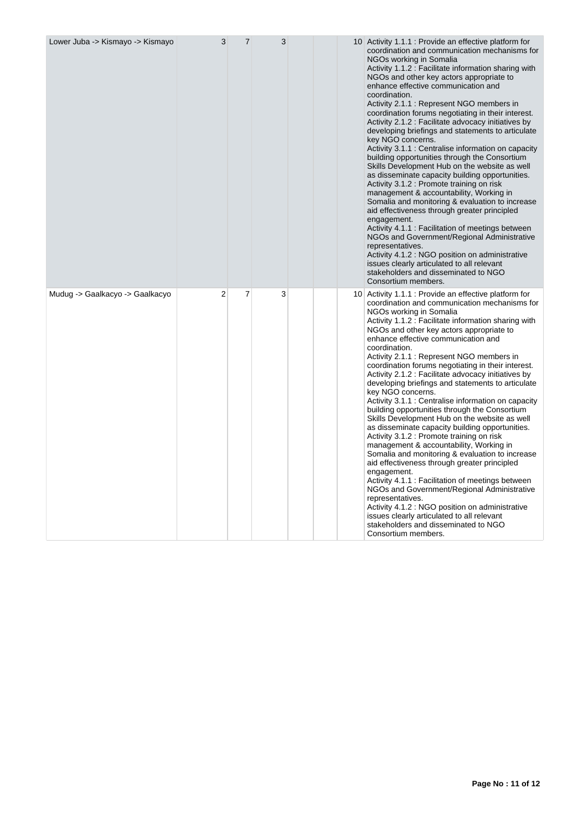| Lower Juba -> Kismayo -> Kismayo | 3              | $\overline{7}$ | 3 |  | 10 Activity 1.1.1 : Provide an effective platform for<br>coordination and communication mechanisms for<br>NGOs working in Somalia<br>Activity 1.1.2 : Facilitate information sharing with<br>NGOs and other key actors appropriate to<br>enhance effective communication and<br>coordination.<br>Activity 2.1.1 : Represent NGO members in<br>coordination forums negotiating in their interest.<br>Activity 2.1.2 : Facilitate advocacy initiatives by<br>developing briefings and statements to articulate<br>key NGO concerns.<br>Activity 3.1.1 : Centralise information on capacity<br>building opportunities through the Consortium<br>Skills Development Hub on the website as well<br>as disseminate capacity building opportunities.<br>Activity 3.1.2 : Promote training on risk<br>management & accountability, Working in<br>Somalia and monitoring & evaluation to increase<br>aid effectiveness through greater principled<br>engagement.<br>Activity 4.1.1 : Facilitation of meetings between<br>NGOs and Government/Regional Administrative<br>representatives.<br>Activity 4.1.2 : NGO position on administrative<br>issues clearly articulated to all relevant<br>stakeholders and disseminated to NGO<br>Consortium members. |
|----------------------------------|----------------|----------------|---|--|-------------------------------------------------------------------------------------------------------------------------------------------------------------------------------------------------------------------------------------------------------------------------------------------------------------------------------------------------------------------------------------------------------------------------------------------------------------------------------------------------------------------------------------------------------------------------------------------------------------------------------------------------------------------------------------------------------------------------------------------------------------------------------------------------------------------------------------------------------------------------------------------------------------------------------------------------------------------------------------------------------------------------------------------------------------------------------------------------------------------------------------------------------------------------------------------------------------------------------------------------|
| Mudug -> Gaalkacyo -> Gaalkacyo  | $\overline{2}$ | $\overline{7}$ | 3 |  | 10 Activity 1.1.1 : Provide an effective platform for<br>coordination and communication mechanisms for<br>NGOs working in Somalia<br>Activity 1.1.2 : Facilitate information sharing with<br>NGOs and other key actors appropriate to<br>enhance effective communication and<br>coordination.<br>Activity 2.1.1 : Represent NGO members in<br>coordination forums negotiating in their interest.<br>Activity 2.1.2 : Facilitate advocacy initiatives by<br>developing briefings and statements to articulate<br>key NGO concerns.<br>Activity 3.1.1 : Centralise information on capacity<br>building opportunities through the Consortium<br>Skills Development Hub on the website as well<br>as disseminate capacity building opportunities.<br>Activity 3.1.2 : Promote training on risk<br>management & accountability, Working in<br>Somalia and monitoring & evaluation to increase<br>aid effectiveness through greater principled<br>engagement.<br>Activity 4.1.1 : Facilitation of meetings between<br>NGOs and Government/Regional Administrative<br>representatives.<br>Activity 4.1.2 : NGO position on administrative<br>issues clearly articulated to all relevant<br>stakeholders and disseminated to NGO<br>Consortium members. |